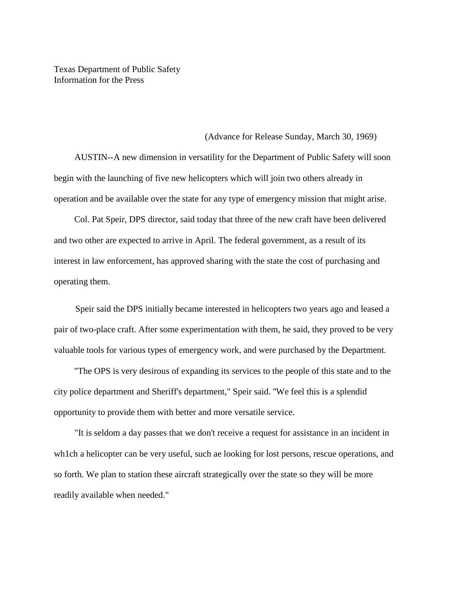Texas Department of Public Safety Information for the Press

## (Advance for Release Sunday, March 30, 1969)

AUSTIN--A new dimension in versatility for the Department of Public Safety will soon begin with the launching of five new helicopters which will join two others already in operation and be available over the state for any type of emergency mission that might arise.

Col. Pat Speir, DPS director, said today that three of the new craft have been delivered and two other are expected to arrive in April. The federal government, as a result of its interest in law enforcement, has approved sharing with the state the cost of purchasing and operating them.

Speir said the DPS initially became interested in helicopters two years ago and leased a pair of two-place craft. After some experimentation with them, he said, they proved to be very valuable tools for various types of emergency work, and were purchased by the Department.

"The OPS is very desirous of expanding its services to the people of this state and to the city police department and Sheriff's department," Speir said. ''We feel this is a splendid opportunity to provide them with better and more versatile service.

"It is seldom a day passes that we don't receive a request for assistance in an incident in wh1ch a helicopter can be very useful, such ae looking for lost persons, rescue operations, and so forth. We plan to station these aircraft strategically over the state so they will be more readily available when needed."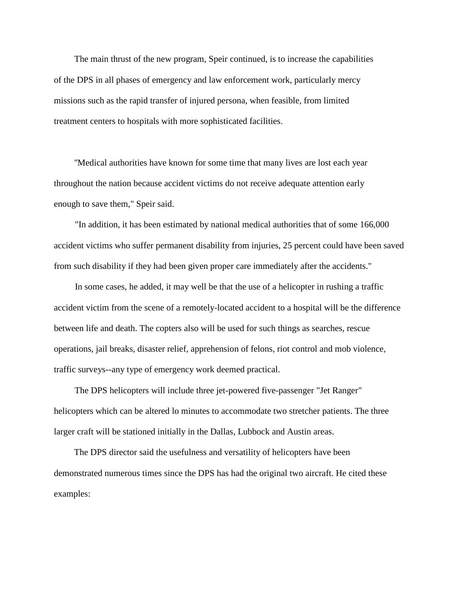The main thrust of the new program, Speir continued, is to increase the capabilities of the DPS in all phases of emergency and law enforcement work, particularly mercy missions such as the rapid transfer of injured persona, when feasible, from limited treatment centers to hospitals with more sophisticated facilities.

''Medical authorities have known for some time that many lives are lost each year throughout the nation because accident victims do not receive adequate attention early enough to save them," Speir said.

"In addition, it has been estimated by national medical authorities that of some 166,000 accident victims who suffer permanent disability from injuries, 25 percent could have been saved from such disability if they had been given proper care immediately after the accidents."

In some cases, he added, it may well be that the use of a helicopter in rushing a traffic accident victim from the scene of a remotely-located accident to a hospital will be the difference between life and death. The copters also will be used for such things as searches, rescue operations, jail breaks, disaster relief, apprehension of felons, riot control and mob violence, traffic surveys--any type of emergency work deemed practical.

The DPS helicopters will include three jet-powered five-passenger "Jet Ranger" helicopters which can be altered lo minutes to accommodate two stretcher patients. The three larger craft will be stationed initially in the Dallas, Lubbock and Austin areas.

The DPS director said the usefulness and versatility of helicopters have been demonstrated numerous times since the DPS has had the original two aircraft. He cited these examples: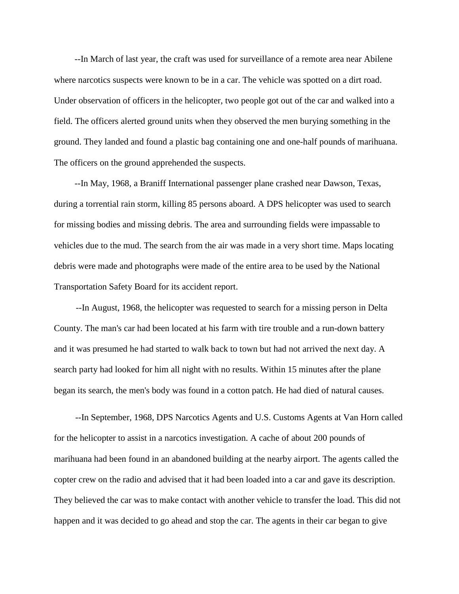--In March of last year, the craft was used for surveillance of a remote area near Abilene where narcotics suspects were known to be in a car. The vehicle was spotted on a dirt road. Under observation of officers in the helicopter, two people got out of the car and walked into a field. The officers alerted ground units when they observed the men burying something in the ground. They landed and found a plastic bag containing one and one-half pounds of marihuana. The officers on the ground apprehended the suspects.

--In May, 1968, a Braniff International passenger plane crashed near Dawson, Texas, during a torrential rain storm, killing 85 persons aboard. A DPS helicopter was used to search for missing bodies and missing debris. The area and surrounding fields were impassable to vehicles due to the mud. The search from the air was made in a very short time. Maps locating debris were made and photographs were made of the entire area to be used by the National Transportation Safety Board for its accident report.

--In August, 1968, the helicopter was requested to search for a missing person in Delta County. The man's car had been located at his farm with tire trouble and a run-down battery and it was presumed he had started to walk back to town but had not arrived the next day. A search party had looked for him all night with no results. Within 15 minutes after the plane began its search, the men's body was found in a cotton patch. He had died of natural causes.

--In September, 1968, DPS Narcotics Agents and U.S. Customs Agents at Van Horn called for the helicopter to assist in a narcotics investigation. A cache of about 200 pounds of marihuana had been found in an abandoned building at the nearby airport. The agents called the copter crew on the radio and advised that it had been loaded into a car and gave its description. They believed the car was to make contact with another vehicle to transfer the load. This did not happen and it was decided to go ahead and stop the car. The agents in their car began to give